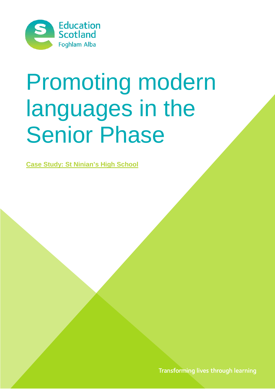

# Promoting modern languages in the Senior Phase

**Case Study: St Ninian's High School**

Transforming lives through learning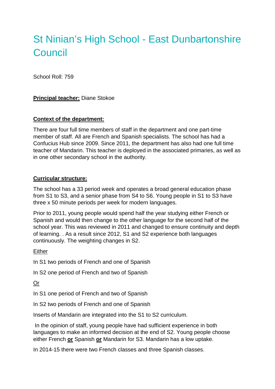# St Ninian's High School - East Dunbartonshire **Council**

School Roll: 759

# **Principal teacher:** Diane Stokoe

#### **Context of the department:**

There are four full time members of staff in the department and one part-time member of staff. All are French and Spanish specialists. The school has had a Confucius Hub since 2009. Since 2011, the department has also had one full time teacher of Mandarin. This teacher is deployed in the associated primaries, as well as in one other secondary school in the authority.

#### **Curricular structure:**

The school has a 33 period week and operates a broad general education phase from S1 to S3, and a senior phase from S4 to S6. Young people in S1 to S3 have three x 50 minute periods per week for modern languages.

Prior to 2011, young people would spend half the year studying either French or Spanish and would then change to the other language for the second half of the school year. This was reviewed in 2011 and changed to ensure continuity and depth of learning. . As a result since 2012, S1 and S2 experience both languages continuously. The weighting changes in S2.

#### Either

In S1 two periods of French and one of Spanish

In S2 one period of French and two of Spanish

# Or

In S1 one period of French and two of Spanish

In S2 two periods of French and one of Spanish

Inserts of Mandarin are integrated into the S1 to S2 curriculum.

In the opinion of staff, young people have had sufficient experience in both languages to make an informed decision at the end of S2. Young people choose either French **or** Spanish **or** Mandarin for S3. Mandarin has a low uptake.

In 2014-15 there were two French classes and three Spanish classes.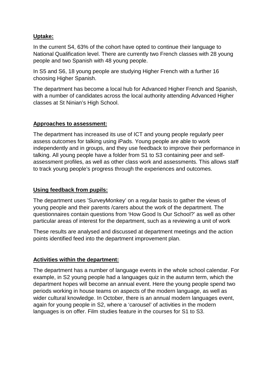# **Uptake:**

In the current S4, 63% of the cohort have opted to continue their language to National Qualification level. There are currently two French classes with 28 young people and two Spanish with 48 young people.

In S5 and S6, 18 young people are studying Higher French with a further 16 choosing Higher Spanish.

The department has become a local hub for Advanced Higher French and Spanish, with a number of candidates across the local authority attending Advanced Higher classes at St Ninian's High School.

#### **Approaches to assessment:**

The department has increased its use of ICT and young people regularly peer assess outcomes for talking using iPads. Young people are able to work independently and in groups, and they use feedback to improve their performance in talking. All young people have a folder from S1 to S3 containing peer and selfassessment profiles, as well as other class work and assessments. This allows staff to track young people's progress through the experiences and outcomes.

#### **Using feedback from pupils:**

The department uses 'SurveyMonkey' on a regular basis to gather the views of young people and their parents /carers about the work of the department. The questionnaires contain questions from 'How Good Is Our School?' as well as other particular areas of interest for the department, such as a reviewing a unit of work

These results are analysed and discussed at department meetings and the action points identified feed into the department improvement plan.

# **Activities within the department:**

The department has a number of language events in the whole school calendar. For example, in S2 young people had a languages quiz in the autumn term, which the department hopes will become an annual event. Here the young people spend two periods working in house teams on aspects of the modern language, as well as wider cultural knowledge. In October, there is an annual modern languages event, again for young people in S2, where a 'carousel' of activities in the modern languages is on offer. Film studies feature in the courses for S1 to S3.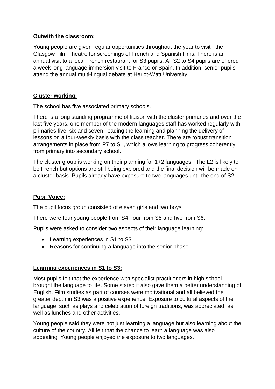# **Outwith the classroom:**

Young people are given regular opportunities throughout the year to visit the Glasgow Film Theatre for screenings of French and Spanish films. There is an annual visit to a local French restaurant for S3 pupils. All S2 to S4 pupils are offered a week long language immersion visit to France or Spain. In addition, senior pupils attend the annual multi-lingual debate at Heriot-Watt University.

# **Cluster working:**

The school has five associated primary schools.

There is a long standing programme of liaison with the cluster primaries and over the last five years, one member of the modern languages staff has worked regularly with primaries five, six and seven, leading the learning and planning the delivery of lessons on a four-weekly basis with the class teacher. There are robust transition arrangements in place from P7 to S1, which allows learning to progress coherently from primary into secondary school.

The cluster group is working on their planning for 1+2 languages. The L2 is likely to be French but options are still being explored and the final decision will be made on a cluster basis. Pupils already have exposure to two languages until the end of S2.

# **Pupil Voice:**

The pupil focus group consisted of eleven girls and two boys.

There were four young people from S4, four from S5 and five from S6.

Pupils were asked to consider two aspects of their language learning:

- Learning experiences in S1 to S3
- Reasons for continuing a language into the senior phase.

# **Learning experiences in S1 to S3:**

Most pupils felt that the experience with specialist practitioners in high school brought the language to life. Some stated it also gave them a better understanding of English. Film studies as part of courses were motivational and all believed the greater depth in S3 was a positive experience. Exposure to cultural aspects of the language, such as plays and celebration of foreign traditions, was appreciated, as well as lunches and other activities.

Young people said they were not just learning a language but also learning about the culture of the country. All felt that the chance to learn a language was also appealing. Young people enjoyed the exposure to two languages.